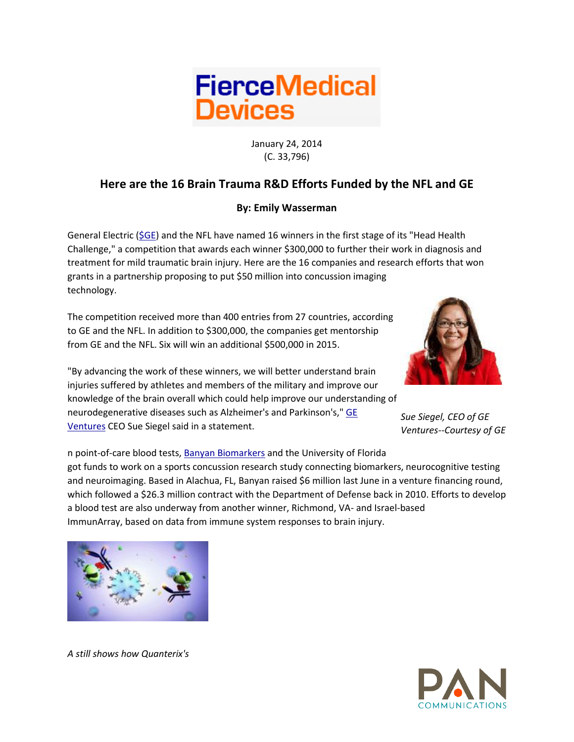

January 24, 2014 (C. 33,796)

## **Here are the 16 Brain Trauma R&D Efforts Funded by the NFL and GE**

## **By: Emily Wasserman**

General Electric ( $$GE$ ) and the NFL have named 16 winners in the first stage of its "Head Health Challenge," a competition that awards each winner \$300,000 to further their work in diagnosis and treatment for mild traumatic brain injury. Here are the 16 companies and research efforts that won grants in a partnership proposing to put \$50 million into concussion imaging technology.

The competition received more than 400 entries from 27 countries, according to GE and the NFL. In addition to \$300,000, the companies get mentorship from GE and the NFL. Six will win an additional \$500,000 in 2015.



"By advancing the work of these winners, we will better understand brain injuries suffered by athletes and members of the military and improve our knowledge of the brain overall which could help improve our understanding of neurodegenerative diseases such as Alzheimer's and Parkinson's," [GE](http://fiercemedicaldevices.com/tags/ge-ventures)  [Ventures](http://fiercemedicaldevices.com/tags/ge-ventures) CEO Sue Siegel said in a statement.

*Sue Siegel, CEO of GE Ventures--Courtesy of GE*

n point-of-care blood tests, [Banyan Biomarkers](http://www.fiercediagnostics.com/tags/banyan-biomarkers) and the University of Florida got funds to work on a sports concussion research study connecting biomarkers, neurocognitive testing and neuroimaging. Based in Alachua, FL, Banyan raised \$6 million last June in a venture financing round, which followed a \$26.3 million contract with the Department of Defense back in 2010. Efforts to develop a blood test are also underway from another winner, Richmond, VA- and Israel-based ImmunArray, based on data from immune system responses to brain injury.



*A still shows how Quanterix's*